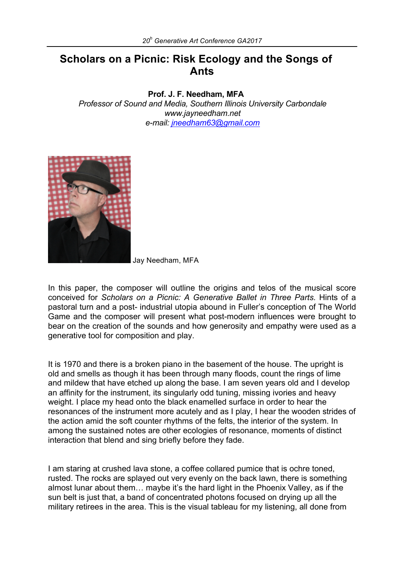## **Scholars on a Picnic: Risk Ecology and the Songs of Ants**

**Prof. J. F. Needham, MFA**

*Professor of Sound and Media, Southern Illinois University Carbondale www.jayneedham.net e-mail: jneedham63@gmail.com*



Jay Needham, MFA

In this paper, the composer will outline the origins and telos of the musical score conceived for *Scholars on a Picnic: A Generative Ballet in Three Parts.* Hints of a pastoral turn and a post- industrial utopia abound in Fuller's conception of The World Game and the composer will present what post-modern influences were brought to bear on the creation of the sounds and how generosity and empathy were used as a generative tool for composition and play.

It is 1970 and there is a broken piano in the basement of the house. The upright is old and smells as though it has been through many floods, count the rings of lime and mildew that have etched up along the base. I am seven years old and I develop an affinity for the instrument, its singularly odd tuning, missing ivories and heavy weight. I place my head onto the black enamelled surface in order to hear the resonances of the instrument more acutely and as I play, I hear the wooden strides of the action amid the soft counter rhythms of the felts, the interior of the system. In among the sustained notes are other ecologies of resonance, moments of distinct interaction that blend and sing briefly before they fade.

I am staring at crushed lava stone, a coffee collared pumice that is ochre toned, rusted. The rocks are splayed out very evenly on the back lawn, there is something almost lunar about them… maybe it's the hard light in the Phoenix Valley, as if the sun belt is just that, a band of concentrated photons focused on drying up all the military retirees in the area. This is the visual tableau for my listening, all done from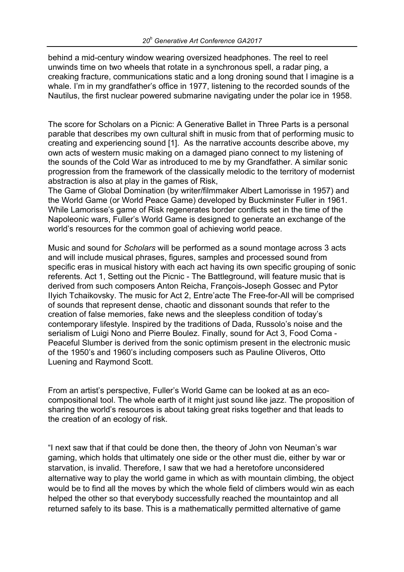behind a mid-century window wearing oversized headphones. The reel to reel unwinds time on two wheels that rotate in a synchronous spell, a radar ping, a creaking fracture, communications static and a long droning sound that I imagine is a whale. I'm in my grandfather's office in 1977, listening to the recorded sounds of the Nautilus, the first nuclear powered submarine navigating under the polar ice in 1958.

The score for Scholars on a Picnic: A Generative Ballet in Three Parts is a personal parable that describes my own cultural shift in music from that of performing music to creating and experiencing sound [1]. As the narrative accounts describe above, my own acts of western music making on a damaged piano connect to my listening of the sounds of the Cold War as introduced to me by my Grandfather. A similar sonic progression from the framework of the classically melodic to the territory of modernist abstraction is also at play in the games of Risk,

The Game of Global Domination (by writer/filmmaker Albert Lamorisse in 1957) and the World Game (or World Peace Game) developed by Buckminster Fuller in 1961. While Lamorisse's game of Risk regenerates border conflicts set in the time of the Napoleonic wars, Fuller's World Game is designed to generate an exchange of the world's resources for the common goal of achieving world peace.

Music and sound for *Scholars* will be performed as a sound montage across 3 acts and will include musical phrases, figures, samples and processed sound from specific eras in musical history with each act having its own specific grouping of sonic referents. Act 1, Setting out the Picnic - The Battleground, will feature music that is derived from such composers Anton Reicha, François-Joseph Gossec and Pytor IIyich Tchaikovsky. The music for Act 2, Entre'acte The Free-for-All will be comprised of sounds that represent dense, chaotic and dissonant sounds that refer to the creation of false memories, fake news and the sleepless condition of today's contemporary lifestyle. Inspired by the traditions of Dada, Russolo's noise and the serialism of Luigi Nono and Pierre Boulez. Finally, sound for Act 3, Food Coma - Peaceful Slumber is derived from the sonic optimism present in the electronic music of the 1950's and 1960's including composers such as Pauline Oliveros, Otto Luening and Raymond Scott.

From an artist's perspective, Fuller's World Game can be looked at as an ecocompositional tool. The whole earth of it might just sound like jazz. The proposition of sharing the world's resources is about taking great risks together and that leads to the creation of an ecology of risk.

"I next saw that if that could be done then, the theory of John von Neuman's war gaming, which holds that ultimately one side or the other must die, either by war or starvation, is invalid. Therefore, I saw that we had a heretofore unconsidered alternative way to play the world game in which as with mountain climbing, the object would be to find all the moves by which the whole field of climbers would win as each helped the other so that everybody successfully reached the mountaintop and all returned safely to its base. This is a mathematically permitted alternative of game